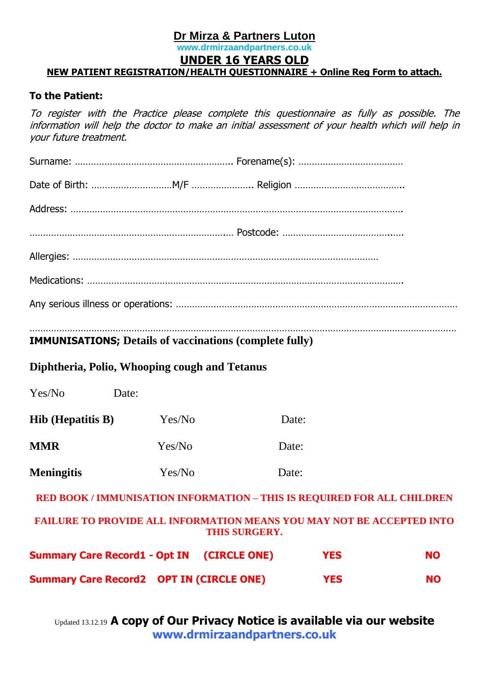# **Dr Mirza & Partners Luton**

# **www.drmirzaandpartners.co.uk**

# **UNDER 16 YEARS OLD**

### **NEW PATIENT REGISTRATION/HEALTH QUESTIONNAIRE + Online Reg Form to attach.**

### **To the Patient:**

To register with the Practice please complete this questionnaire as fully as possible. The information will help the doctor to make an initial assessment of your health which will help in your future treatment.

| <b>IMMUNISATIONS; Details of vaccinations (complete fully)</b> |  |  |
|----------------------------------------------------------------|--|--|
|                                                                |  |  |
|                                                                |  |  |
|                                                                |  |  |
|                                                                |  |  |
|                                                                |  |  |
|                                                                |  |  |
|                                                                |  |  |
|                                                                |  |  |

# **Diphtheria, Polio, Whooping cough and Tetanus**

| <b>Summary Care Record2 OPT IN (CIRCLE ONE)</b>                                               |        |                                                                         | <b>YES</b> | <b>NO</b> |  |  |
|-----------------------------------------------------------------------------------------------|--------|-------------------------------------------------------------------------|------------|-----------|--|--|
| <b>Summary Care Record1 - Opt IN (CIRCLE ONE)</b>                                             |        |                                                                         | <b>YES</b> | <b>NO</b> |  |  |
| <b>FAILURE TO PROVIDE ALL INFORMATION MEANS YOU MAY NOT BE ACCEPTED INTO</b><br>THIS SURGERY. |        |                                                                         |            |           |  |  |
|                                                                                               |        | RED BOOK / IMMUNISATION INFORMATION - THIS IS REQUIRED FOR ALL CHILDREN |            |           |  |  |
| <b>Meningitis</b>                                                                             | Yes/No |                                                                         | Date:      |           |  |  |
| <b>MMR</b>                                                                                    | Yes/No |                                                                         | Date:      |           |  |  |
| <b>Hib</b> (Hepatitis B)                                                                      | Yes/No |                                                                         | Date:      |           |  |  |
| Yes/No                                                                                        | Date:  |                                                                         |            |           |  |  |
|                                                                                               |        |                                                                         |            |           |  |  |

Updated 13.12.19 **A copy of Our Privacy Notice is available via our website [www.drmirzaandpartners.co.uk](http://www.drmirzaandpartners.co.uk/)**